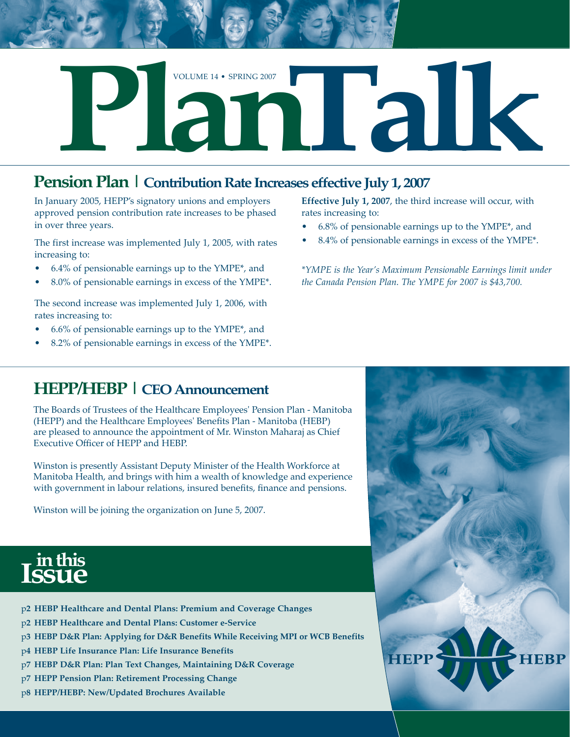

In January 2005, HEPP's signatory unions and employers approved pension contribution rate increases to be phased in over three years.

The first increase was implemented July 1, 2005, with rates increasing to:

- 6.4% of pensionable earnings up to the YMPE\*, and •
- 8.0% of pensionable earnings in excess of the YMPE\*. •

The second increase was implemented July 1, 2006, with rates increasing to:

- 6.6% of pensionable earnings up to the YMPE\*, and •
- 8.2% of pensionable earnings in excess of the YMPE\*. •

**Effective July 1, 2007**, the third increase will occur, with rates increasing to:

- 6.8% of pensionable earnings up to the YMPE\*, and •
- 8.4% of pensionable earnings in excess of the YMPE\*. •

*\*YMPE is the Year's Maximum Pensionable Earnings limit under the Canada Pension Plan. The YMPE for 2007 is \$43,700.*

## **HEPP/HEBP | CEO Announcement**

The Boards of Trustees of the Healthcare Employees' Pension Plan - Manitoba (HEPP) and the Healthcare Employees' Benefits Plan - Manitoba (HEBP) are pleased to announce the appointment of Mr. Winston Maharaj as Chief Executive Officer of HEPP and HEBP.

Winston is presently Assistant Deputy Minister of the Health Workforce at Manitoba Health, and brings with him a wealth of knowledge and experience with government in labour relations, insured benefits, finance and pensions.

Winston will be joining the organization on June 5, 2007.





- p**2 HEBP Healthcare and Dental Plans: Premium and Coverage Changes**
- p**2 HEBP Healthcare and Dental Plans: Customer e-Service**
- p**3 HEBP D&R Plan: Applying for D&R Benefits While Receiving MPI or WCB Benefits**
- p**4 HEBP Life Insurance Plan: Life Insurance Benefits**
- p**7 HEBP D&R Plan: Plan Text Changes, Maintaining D&R Coverage**
- p**7 HEPP Pension Plan: Retirement Processing Change**
- p**8 HEPP/HEBP: New/Updated Brochures Available**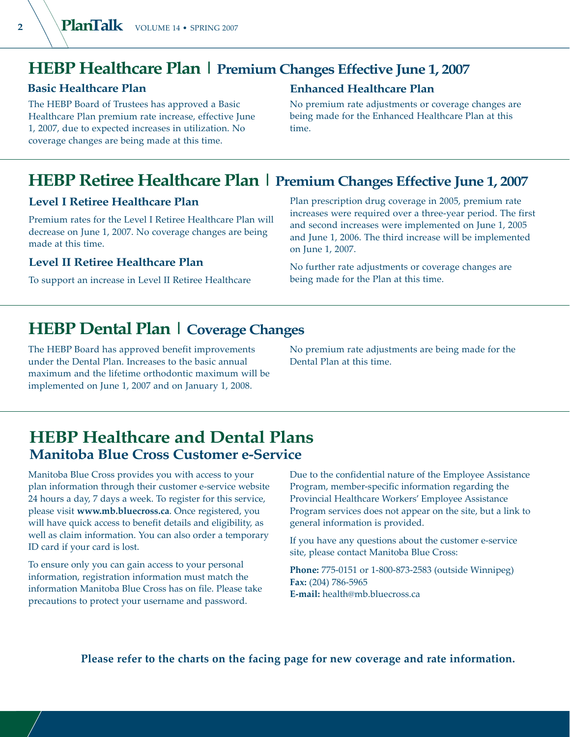## **HEBP Healthcare Plan | Premium Changes Effective June 1, 2007**

## **Basic Healthcare Plan**

The HEBP Board of Trustees has approved a Basic Healthcare Plan premium rate increase, effective June 1, 2007, due to expected increases in utilization. No coverage changes are being made at this time.

### **Enhanced Healthcare Plan**

No premium rate adjustments or coverage changes are being made for the Enhanced Healthcare Plan at this time.

## **HEBP Retiree Healthcare Plan | Premium Changes Effective June 1, 2007**

### **Level I Retiree Healthcare Plan**

Premium rates for the Level I Retiree Healthcare Plan will decrease on June 1, 2007. No coverage changes are being made at this time.

### **Level II Retiree Healthcare Plan**

To support an increase in Level II Retiree Healthcare

Plan prescription drug coverage in 2005, premium rate increases were required over a three-year period. The first and second increases were implemented on June 1, 2005 and June 1, 2006. The third increase will be implemented on June 1, 2007.

No further rate adjustments or coverage changes are being made for the Plan at this time.

## **HEBP Dental Plan | Coverage Changes**

The HEBP Board has approved benefit improvements under the Dental Plan. Increases to the basic annual maximum and the lifetime orthodontic maximum will be implemented on June 1, 2007 and on January 1, 2008.

No premium rate adjustments are being made for the Dental Plan at this time.

## **HEBP Healthcare and Dental Plans Manitoba Blue Cross Customer e-Service**

Manitoba Blue Cross provides you with access to your plan information through their customer e-service website 24 hours a day, 7 days a week. To register for this service, please visit **www.mb.bluecross.ca**. Once registered, you will have quick access to benefit details and eligibility, as well as claim information. You can also order a temporary ID card if your card is lost.

To ensure only you can gain access to your personal information, registration information must match the information Manitoba Blue Cross has on file. Please take precautions to protect your username and password.

Due to the confidential nature of the Employee Assistance Program, member-specific information regarding the Provincial Healthcare Workers' Employee Assistance Program services does not appear on the site, but a link to general information is provided.

If you have any questions about the customer e-service site, please contact Manitoba Blue Cross:

**Phone:** 775-0151 or 1-800-873-2583 (outside Winnipeg) **Fax:** (204) 786-5965 **E-mail:** health@mb.bluecross.ca

**Please refer to the charts on the facing page for new coverage and rate information.**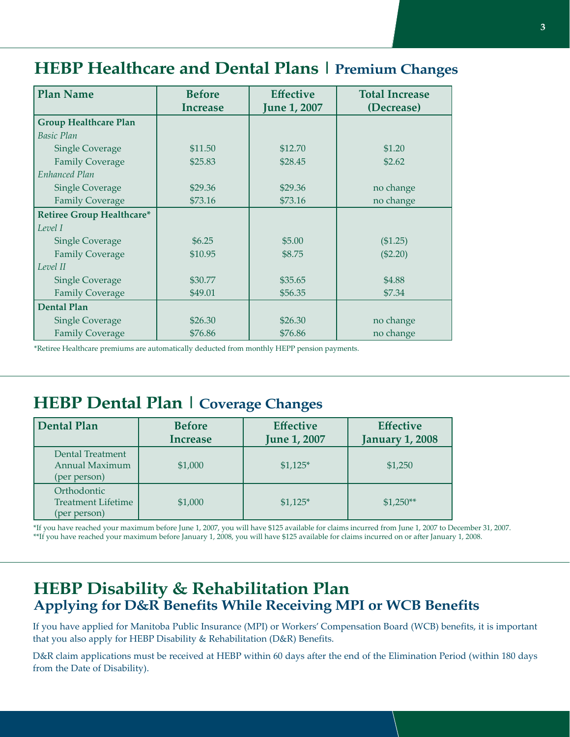# **HEBP Healthcare and Dental Plans | Premium Changes**

| <b>Plan Name</b>                 | <b>Before</b> | <b>Effective</b>    | <b>Total Increase</b> |
|----------------------------------|---------------|---------------------|-----------------------|
|                                  | Increase      | <b>June 1, 2007</b> | (Decrease)            |
| <b>Group Healthcare Plan</b>     |               |                     |                       |
| <b>Basic Plan</b>                |               |                     |                       |
| <b>Single Coverage</b>           | \$11.50       | \$12.70             | \$1.20                |
| <b>Family Coverage</b>           | \$25.83       | \$28.45             | \$2.62                |
| Enhanced Plan                    |               |                     |                       |
| <b>Single Coverage</b>           | \$29.36       | \$29.36             | no change             |
| <b>Family Coverage</b>           | \$73.16       | \$73.16             | no change             |
| <b>Retiree Group Healthcare*</b> |               |                     |                       |
| Level I                          |               |                     |                       |
| <b>Single Coverage</b>           | \$6.25        | \$5.00              | (\$1.25)              |
| <b>Family Coverage</b>           | \$10.95       | \$8.75              | $(\$2.20)$            |
| Level II                         |               |                     |                       |
| <b>Single Coverage</b>           | \$30.77       | \$35.65             | \$4.88                |
| <b>Family Coverage</b>           | \$49.01       | \$56.35             | \$7.34                |
| <b>Dental Plan</b>               |               |                     |                       |
| <b>Single Coverage</b>           | \$26.30       | \$26.30             | no change             |
| <b>Family Coverage</b>           | \$76.86       | \$76.86             | no change             |

\*Retiree Healthcare premiums are automatically deducted from monthly HEPP pension payments.

## **HEBP Dental Plan | Coverage Changes**

| <b>Dental Plan</b>                                       | <b>Before</b><br><b>Increase</b> | <b>Effective</b><br><b>June 1, 2007</b> | <b>Effective</b><br><b>January 1, 2008</b> |
|----------------------------------------------------------|----------------------------------|-----------------------------------------|--------------------------------------------|
| Dental Treatment<br>Annual Maximum<br>(per person)       | \$1,000                          | $$1,125$ *                              | \$1,250                                    |
| Orthodontic<br><b>Treatment Lifetime</b><br>(per person) | \$1,000                          | $$1,125*$                               | $$1,250**$                                 |

\*If you have reached your maximum before June 1, 2007, you will have \$125 available for claims incurred from June 1, 2007 to December 31, 2007. \*\*If you have reached your maximum before January 1, 2008, you will have \$125 available for claims incurred on or after January 1, 2008.

## **HEBP Disability & Rehabilitation Plan Applying for D&R Benefits While Receiving MPI or WCB Benefits**

If you have applied for Manitoba Public Insurance (MPI) or Workers' Compensation Board (WCB) benefits, it is important that you also apply for HEBP Disability & Rehabilitation (D&R) Benefits.

D&R claim applications must be received at HEBP within 60 days after the end of the Elimination Period (within 180 days from the Date of Disability).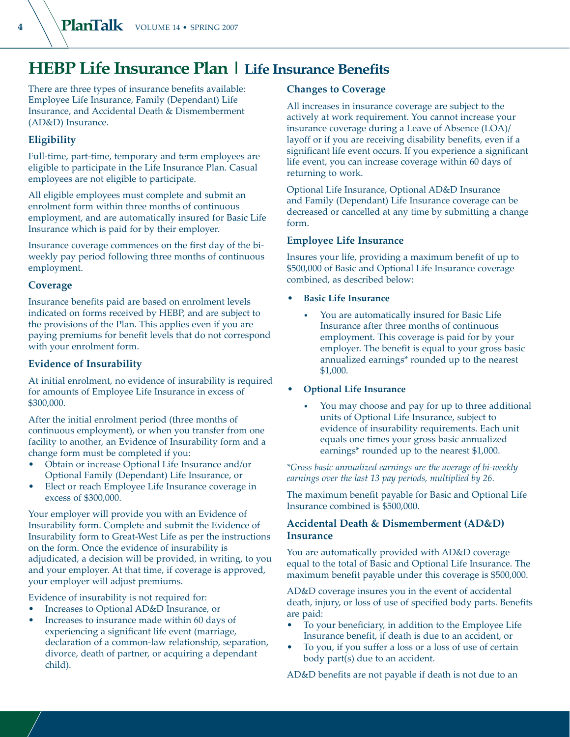## **HEBP Life Insurance Plan | Life Insurance Benefits**

There are three types of insurance benefits available: Employee Life Insurance, Family (Dependant) Life Insurance, and Accidental Death & Dismemberment (AD&D) Insurance.

### **Eligibility**

Full-time, part-time, temporary and term employees are eligible to participate in the Life Insurance Plan. Casual employees are not eligible to participate.

All eligible employees must complete and submit an enrolment form within three months of continuous employment, and are automatically insured for Basic Life Insurance which is paid for by their employer.

Insurance coverage commences on the first day of the biweekly pay period following three months of continuous employment.

### **Coverage**

Insurance benefits paid are based on enrolment levels indicated on forms received by HEBP, and are subject to the provisions of the Plan. This applies even if you are paying premiums for benefit levels that do not correspond with your enrolment form.

### **Evidence of Insurability**

At initial enrolment, no evidence of insurability is required for amounts of Employee Life Insurance in excess of \$300,000.

After the initial enrolment period (three months of continuous employment), or when you transfer from one facility to another, an Evidence of Insurability form and a change form must be completed if you:

- Obtain or increase Optional Life Insurance and/or Optional Family (Dependant) Life Insurance, or •
- Elect or reach Employee Life Insurance coverage in excess of \$300,000. •

Your employer will provide you with an Evidence of Insurability form. Complete and submit the Evidence of Insurability form to Great-West Life as per the instructions on the form. Once the evidence of insurability is adjudicated, a decision will be provided, in writing, to you and your employer. At that time, if coverage is approved, your employer will adjust premiums.

Evidence of insurability is not required for:

- Increases to Optional AD&D Insurance, or •
- Increases to insurance made within 60 days of experiencing a significant life event (marriage, declaration of a common-law relationship, separation, divorce, death of partner, or acquiring a dependant child). •

### **Changes to Coverage**

All increases in insurance coverage are subject to the actively at work requirement. You cannot increase your insurance coverage during a Leave of Absence (LOA)/ layoff or if you are receiving disability benefits, even if a significant life event occurs. If you experience a significant life event, you can increase coverage within 60 days of returning to work.

Optional Life Insurance, Optional AD&D Insurance and Family (Dependant) Life Insurance coverage can be decreased or cancelled at any time by submitting a change form.

### **Employee Life Insurance**

Insures your life, providing a maximum benefit of up to \$500,000 of Basic and Optional Life Insurance coverage combined, as described below:

- **Basic Life Insurance**
	- You are automatically insured for Basic Life Insurance after three months of continuous employment. This coverage is paid for by your employer. The benefit is equal to your gross basic annualized earnings\* rounded up to the nearest \$1,000.
- **Optional Life Insurance**
	- You may choose and pay for up to three additional units of Optional Life Insurance, subject to evidence of insurability requirements. Each unit equals one times your gross basic annualized earnings\* rounded up to the nearest \$1,000.

*\*Gross basic annualized earnings are the average of bi-weekly earnings over the last 13 pay periods, multiplied by 26.*

The maximum benefit payable for Basic and Optional Life Insurance combined is \$500,000.

### **Accidental Death & Dismemberment (AD&D) Insurance**

You are automatically provided with AD&D coverage equal to the total of Basic and Optional Life Insurance. The maximum benefit payable under this coverage is \$500,000.

AD&D coverage insures you in the event of accidental death, injury, or loss of use of specified body parts. Benefits are paid:

- To your beneficiary, in addition to the Employee Life Insurance benefit, if death is due to an accident, or •
- To you, if you suffer a loss or a loss of use of certain body part(s) due to an accident. •

AD&D benefits are not payable if death is not due to an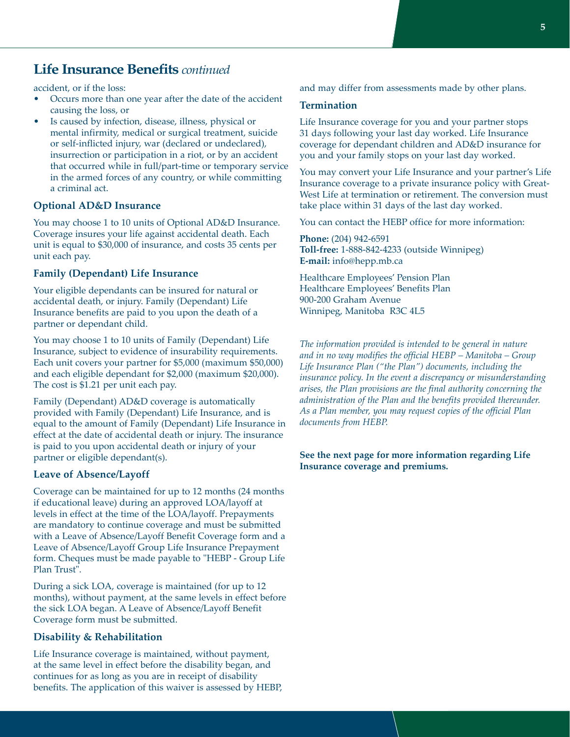## **Life Insurance Benefits** *continued*

accident, or if the loss:

- Occurs more than one year after the date of the accident causing the loss, or •
- Is caused by infection, disease, illness, physical or mental infirmity, medical or surgical treatment, suicide or self-inflicted injury, war (declared or undeclared), insurrection or participation in a riot, or by an accident that occurred while in full/part-time or temporary service in the armed forces of any country, or while committing a criminal act. •

#### **Optional AD&D Insurance**

You may choose 1 to 10 units of Optional AD&D Insurance. Coverage insures your life against accidental death. Each unit is equal to \$30,000 of insurance, and costs 35 cents per unit each pay.

#### **Family (Dependant) Life Insurance**

Your eligible dependants can be insured for natural or accidental death, or injury. Family (Dependant) Life Insurance benefits are paid to you upon the death of a partner or dependant child.

You may choose 1 to 10 units of Family (Dependant) Life Insurance, subject to evidence of insurability requirements. Each unit covers your partner for \$5,000 (maximum \$50,000) and each eligible dependant for \$2,000 (maximum \$20,000). The cost is \$1.21 per unit each pay.

Family (Dependant) AD&D coverage is automatically provided with Family (Dependant) Life Insurance, and is equal to the amount of Family (Dependant) Life Insurance in effect at the date of accidental death or injury. The insurance is paid to you upon accidental death or injury of your partner or eligible dependant(s).

### **Leave of Absence/Layoff**

Coverage can be maintained for up to 12 months (24 months if educational leave) during an approved LOA/layoff at levels in effect at the time of the LOA/layoff. Prepayments are mandatory to continue coverage and must be submitted with a Leave of Absence/Layoff Benefit Coverage form and a Leave of Absence/Layoff Group Life Insurance Prepayment form. Cheques must be made payable to "HEBP - Group Life Plan Trust".

During a sick LOA, coverage is maintained (for up to 12 months), without payment, at the same levels in effect before the sick LOA began. A Leave of Absence/Layoff Benefit Coverage form must be submitted.

#### **Disability & Rehabilitation**

Life Insurance coverage is maintained, without payment, at the same level in effect before the disability began, and continues for as long as you are in receipt of disability benefits. The application of this waiver is assessed by HEBP, and may differ from assessments made by other plans.

#### **Termination**

Life Insurance coverage for you and your partner stops 31 days following your last day worked. Life Insurance coverage for dependant children and AD&D insurance for you and your family stops on your last day worked.

You may convert your Life Insurance and your partner's Life Insurance coverage to a private insurance policy with Great-West Life at termination or retirement. The conversion must take place within 31 days of the last day worked.

You can contact the HEBP office for more information:

**Phone:** (204) 942-6591 **Toll-free:** 1-888-842-4233 (outside Winnipeg) **E-mail:** info@hepp.mb.ca

Healthcare Employees' Pension Plan Healthcare Employees' Benefits Plan 900-200 Graham Avenue Winnipeg, Manitoba R3C 4L5

*The information provided is intended to be general in nature and in no way modifies the official HEBP – Manitoba – Group Life Insurance Plan ("the Plan") documents, including the insurance policy. In the event a discrepancy or misunderstanding arises, the Plan provisions are the final authority concerning the administration of the Plan and the benefits provided thereunder. As a Plan member, you may request copies of the official Plan documents from HEBP.*

### **See the next page for more information regarding Life Insurance coverage and premiums.**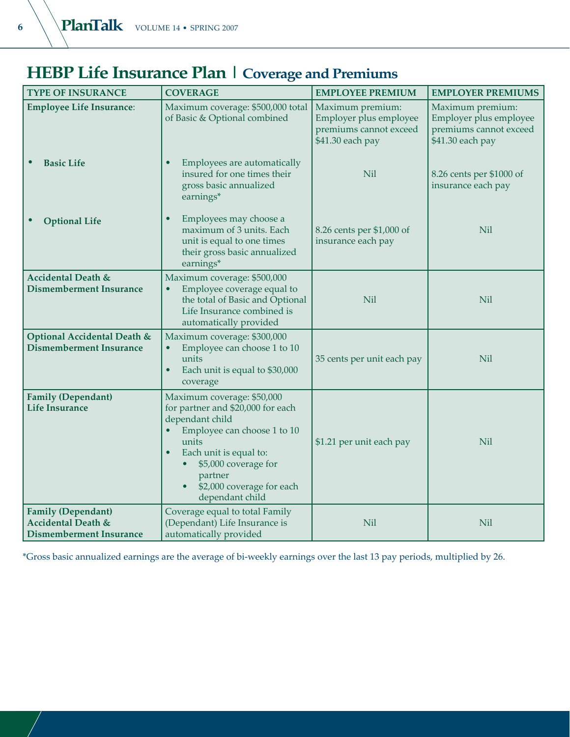# **HEBP Life Insurance Plan | Coverage and Premiums**

| <b>TYPE OF INSURANCE</b>                                                                     | <b>COVERAGE</b>                                                                                                                                                                                                                                      | <b>EMPLOYEE PREMIUM</b>                                                                  | <b>EMPLOYER PREMIUMS</b>                                                                 |
|----------------------------------------------------------------------------------------------|------------------------------------------------------------------------------------------------------------------------------------------------------------------------------------------------------------------------------------------------------|------------------------------------------------------------------------------------------|------------------------------------------------------------------------------------------|
| <b>Employee Life Insurance:</b>                                                              | Maximum coverage: \$500,000 total<br>of Basic & Optional combined                                                                                                                                                                                    | Maximum premium:<br>Employer plus employee<br>premiums cannot exceed<br>\$41.30 each pay | Maximum premium:<br>Employer plus employee<br>premiums cannot exceed<br>\$41.30 each pay |
| <b>Basic Life</b>                                                                            | Employees are automatically<br>$\bullet$<br>insured for one times their<br>gross basic annualized<br>earnings*                                                                                                                                       | <b>Nil</b>                                                                               | 8.26 cents per \$1000 of<br>insurance each pay                                           |
| <b>Optional Life</b>                                                                         | Employees may choose a<br>٠<br>maximum of 3 units. Each<br>unit is equal to one times<br>their gross basic annualized<br>earnings*                                                                                                                   | 8.26 cents per \$1,000 of<br>insurance each pay                                          | <b>Nil</b>                                                                               |
| <b>Accidental Death &amp;</b><br><b>Dismemberment Insurance</b>                              | Maximum coverage: \$500,000<br>Employee coverage equal to<br>the total of Basic and Optional<br>Life Insurance combined is<br>automatically provided                                                                                                 | <b>Nil</b>                                                                               | <b>Nil</b>                                                                               |
| Optional Accidental Death &<br><b>Dismemberment Insurance</b>                                | Maximum coverage: \$300,000<br>Employee can choose 1 to 10<br>$\bullet$<br>units<br>Each unit is equal to \$30,000<br>$\bullet$<br>coverage                                                                                                          | 35 cents per unit each pay                                                               | <b>Nil</b>                                                                               |
| <b>Family (Dependant)</b><br><b>Life Insurance</b>                                           | Maximum coverage: \$50,000<br>for partner and \$20,000 for each<br>dependant child<br>Employee can choose 1 to 10<br>units<br>Each unit is equal to:<br>$\bullet$<br>\$5,000 coverage for<br>partner<br>\$2,000 coverage for each<br>dependant child | \$1.21 per unit each pay                                                                 | Nil                                                                                      |
| <b>Family (Dependant)</b><br><b>Accidental Death &amp;</b><br><b>Dismemberment Insurance</b> | Coverage equal to total Family<br>(Dependant) Life Insurance is<br>automatically provided                                                                                                                                                            | Nil                                                                                      | Nil                                                                                      |

\*Gross basic annualized earnings are the average of bi-weekly earnings over the last 13 pay periods, multiplied by 26.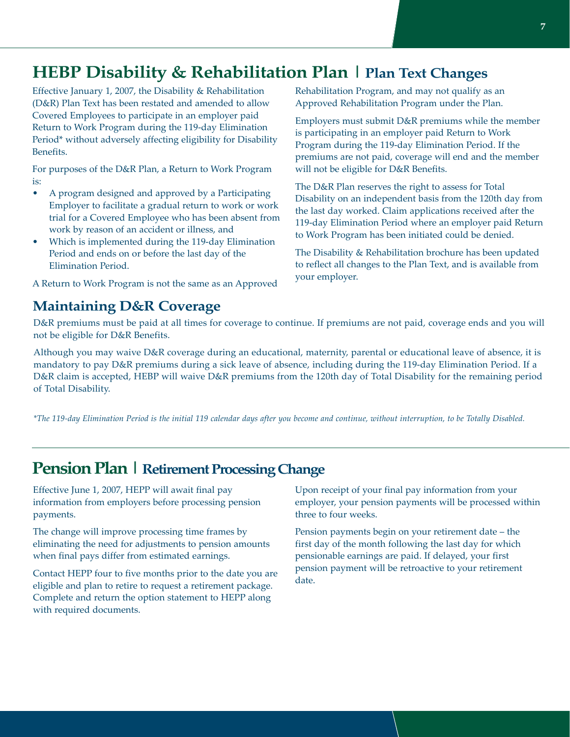# **HEBP Disability & Rehabilitation Plan | Plan Text Changes**

Effective January 1, 2007, the Disability & Rehabilitation (D&R) Plan Text has been restated and amended to allow Covered Employees to participate in an employer paid Return to Work Program during the 119-day Elimination Period\* without adversely affecting eligibility for Disability Benefits. **7MBBP Disability & Rehabilitation Plan Text Changes**<br> **Fifferive January 1, 2007, the Disability & Rehabilitation**<br> **Fifferive January 1, 2007, the Disability & Rehabilitation**<br> **FOREY JANUA COVER COVER (DEAR)**<br> **FOREY DE** 

For purposes of the D&R Plan, a Return to Work Program is:

- A program designed and approved by a Participating Employer to facilitate a gradual return to work or work trial for a Covered Employee who has been absent from work by reason of an accident or illness, and •
- Which is implemented during the 119-day Elimination Period and ends on or before the last day of the Elimination Period. •

A Return to Work Program is not the same as an Approved

Rehabilitation Program, and may not qualify as an Approved Rehabilitation Program under the Plan.

Employers must submit D&R premiums while the member is participating in an employer paid Return to Work Program during the 119-day Elimination Period. If the premiums are not paid, coverage will end and the member will not be eligible for D&R Benefits.

The D&R Plan reserves the right to assess for Total Disability on an independent basis from the 120th day from the last day worked. Claim applications received after the 119-day Elimination Period where an employer paid Return to Work Program has been initiated could be denied.

The Disability & Rehabilitation brochure has been updated to reflect all changes to the Plan Text, and is available from your employer.

D&R premiums must be paid at all times for coverage to continue. If premiums are not paid, coverage ends and you will not be eligible for D&R Benefits.

Although you may waive D&R coverage during an educational, maternity, parental or educational leave of absence, it is mandatory to pay D&R premiums during a sick leave of absence, including during the 119-day Elimination Period. If a D&R claim is accepted, HEBP will waive D&R premiums from the 120th day of Total Disability for the remaining period of Total Disability.

*\*The 119-day Elimination Period is the initial 119 calendar days after you become and continue, without interruption, to be Totally Disabled.*

## **Pension Plan | Retirement Processing Change**

Effective June 1, 2007, HEPP will await final pay information from employers before processing pension payments.

The change will improve processing time frames by eliminating the need for adjustments to pension amounts when final pays differ from estimated earnings.

Contact HEPP four to five months prior to the date you are eligible and plan to retire to request a retirement package. Complete and return the option statement to HEPP along with required documents.

Upon receipt of your final pay information from your employer, your pension payments will be processed within three to four weeks.

Pension payments begin on your retirement date – the first day of the month following the last day for which pensionable earnings are paid. If delayed, your first pension payment will be retroactive to your retirement date.